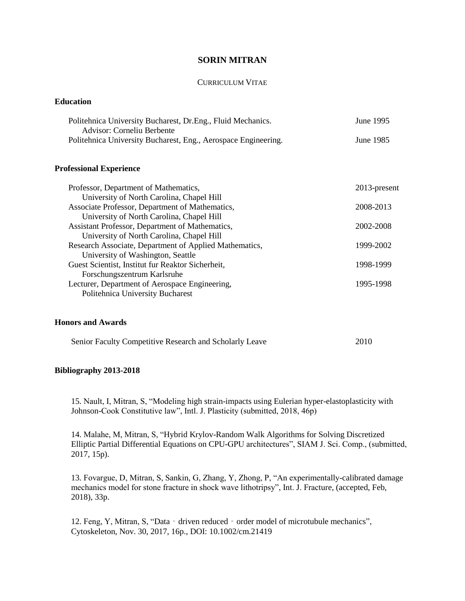# **SORIN MITRAN**

#### CURRICULUM VITAE

## **Education**

| Politehnica University Bucharest, Dr. Eng., Fluid Mechanics.   | June 1995 |
|----------------------------------------------------------------|-----------|
| Advisor: Corneliu Berbente                                     |           |
| Politehnica University Bucharest, Eng., Aerospace Engineering. | June 1985 |

## **Professional Experience**

| 2013-present |
|--------------|
|              |
| 2008-2013    |
|              |
| 2002-2008    |
|              |
| 1999-2002    |
|              |
| 1998-1999    |
|              |
| 1995-1998    |
|              |
|              |

### **Honors and Awards**

| Senior Faculty Competitive Research and Scholarly Leave | 2010 |
|---------------------------------------------------------|------|
|---------------------------------------------------------|------|

# **Bibliography 2013-2018**

15. Nault, I, Mitran, S, "Modeling high strain-impacts using Eulerian hyper-elastoplasticity with Johnson-Cook Constitutive law", Intl. J. Plasticity (submitted, 2018, 46p)

14. Malahe, M, Mitran, S, "Hybrid Krylov-Random Walk Algorithms for Solving Discretized Elliptic Partial Differential Equations on CPU-GPU architectures", SIAM J. Sci. Comp., (submitted, 2017, 15p).

13. Fovargue, D, Mitran, S, Sankin, G, Zhang, Y, Zhong, P, "An experimentally-calibrated damage mechanics model for stone fracture in shock wave lithotripsy", Int. J. Fracture, (accepted, Feb, 2018), 33p.

12. Feng, Y, Mitran, S, "Data - driven reduced - order model of microtubule mechanics", Cytoskeleton, Nov. 30, 2017, 16p., DOI: 10.1002/cm.21419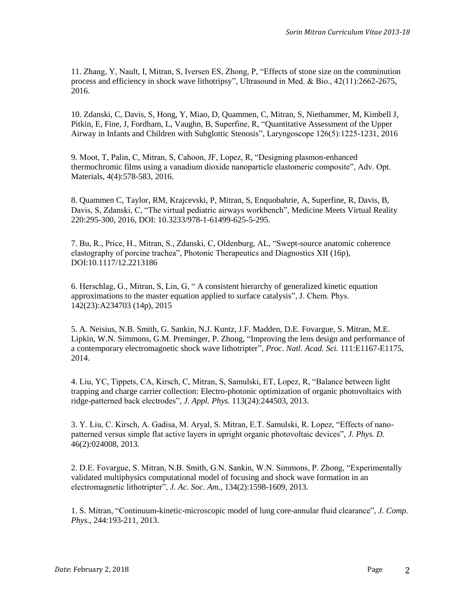11. Zhang, Y, Nault, I, Mitran, S, Iversen ES, Zhong, P, "Effects of stone size on the comminution process and efficiency in shock wave lithotripsy", Ultrasound in Med. & Bio., 42(11):2662-2675, 2016.

10. Zdanski, C, Davis, S, Hong, Y, Miao, D, Quammen, C, Mitran, S, Niethammer, M, Kimbell J, Pitkin, E, Fine, J, Fordham, L, Vaughn, B, Superfine, R, "Quantitative Assessment of the Upper Airway in Infants and Children with Subglottic Stenosis", Laryngoscope 126(5):1225-1231, 2016

9. Moot, T, Palin, C, Mitran, S, Cahoon, JF, Lopez, R, "Designing plasmon-enhanced thermochromic films using a vanadium dioxide nanoparticle elastomeric composite", Adv. Opt. Materials, 4(4):578-583, 2016.

8. Quammen C, Taylor, RM, Krajcevski, P, Mitran, S, Enquobahrie, A, Superfine, R, Davis, B, Davis, S, Zdanski, C, "The virtual pediatric airways workbench", Medicine Meets Virtual Reality 220:295-300, 2016, DOI: 10.3233/978-1-61499-625-5-295.

7. Bu, R., Price, H., Mitran, S., Zdanski, C, Oldenburg, AL, "Swept-source anatomic coherence elastography of porcine trachea", Photonic Therapeutics and Diagnostics XII (16p), DOI:10.1117/12.2213186

6. Herschlag, G., Mitran, S, Lin, G, " A consistent hierarchy of generalized kinetic equation approximations to the master equation applied to surface catalysis", J. Chem. Phys. 142(23):A234703 (14p), 2015

5. A. Neisius, N.B. Smith, G. Sankin, N.J. Kuntz, J.F. Madden, D.E. Fovargue, S. Mitran, M.E. Lipkin, W.N. Simmons, G.M. Preminger, P. Zhong, "Improving the lens design and performance of a contemporary electromagnetic shock wave lithotripter", *Proc. Natl. Acad. Sci.* 111:E1167-E1175, 2014.

4. Liu, YC, Tippets, CA, Kirsch, C, Mitran, S, Samulski, ET, Lopez, R, "Balance between light trapping and charge carrier collection: Electro-photonic optimization of organic photovoltaics with ridge-patterned back electrodes", *J. Appl. Phys.* 113(24):244503, 2013.

3. Y. Liu, C. Kirsch, A. Gadisa, M. Aryal, S. Mitran, E.T. Samulski, R. Lopez, "Effects of nanopatterned versus simple flat active layers in upright organic photovoltaic devices", *J. Phys. D*. 46(2):024008, 2013.

2. D.E. Fovargue, S. Mitran, N.B. Smith, G.N. Sankin, W.N. Simmons, P. Zhong, "Experimentally validated multiphysics computational model of focusing and shock wave formation in an electromagnetic lithotripter", *J. Ac. Soc. Am.*, 134(2):1598-1609, 2013.

1. S. Mitran, "Continuum-kinetic-microscopic model of lung core-annular fluid clearance", *J. Comp. Phys.*, 244:193-211, 2013.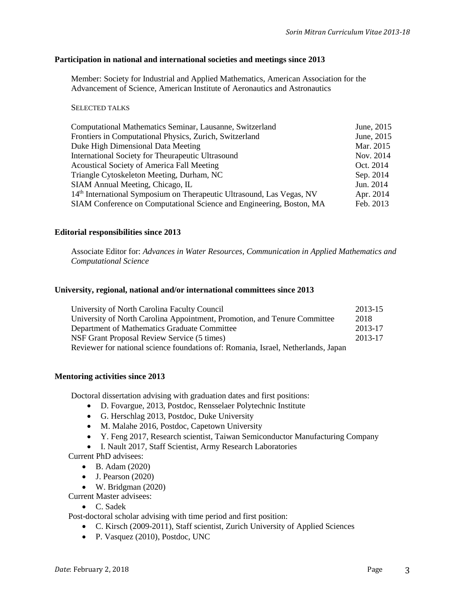#### **Participation in national and international societies and meetings since 2013**

Member: Society for Industrial and Applied Mathematics, American Association for the Advancement of Science, American Institute of Aeronautics and Astronautics

#### SELECTED TALKS

| Computational Mathematics Seminar, Lausanne, Switzerland              | June, 2015 |
|-----------------------------------------------------------------------|------------|
| Frontiers in Computational Physics, Zurich, Switzerland               | June, 2015 |
| Duke High Dimensional Data Meeting                                    | Mar. 2015  |
| International Society for Theurapeutic Ultrasound                     | Nov. 2014  |
| Acoustical Society of America Fall Meeting                            | Oct. 2014  |
| Triangle Cytoskeleton Meeting, Durham, NC                             | Sep. 2014  |
| SIAM Annual Meeting, Chicago, IL                                      | Jun. 2014  |
| 14th International Symposium on Therapeutic Ultrasound, Las Vegas, NV | Apr. 2014  |
| SIAM Conference on Computational Science and Engineering, Boston, MA  | Feb. 2013  |

### **Editorial responsibilities since 2013**

Associate Editor for: *Advances in Water Resources*, *Communication in Applied Mathematics and Computational Science*

# **University, regional, national and/or international committees since 2013**

| University of North Carolina Faculty Council                                      | 2013-15 |
|-----------------------------------------------------------------------------------|---------|
| University of North Carolina Appointment, Promotion, and Tenure Committee         | 2018    |
| Department of Mathematics Graduate Committee                                      | 2013-17 |
| NSF Grant Proposal Review Service (5 times)                                       | 2013-17 |
| Reviewer for national science foundations of: Romania, Israel, Netherlands, Japan |         |

### **Mentoring activities since 2013**

Doctoral dissertation advising with graduation dates and first positions:

- D. Fovargue, 2013, Postdoc, Rensselaer Polytechnic Institute
- G. Herschlag 2013, Postdoc, Duke University
- M. Malahe 2016, Postdoc, Capetown University
- Y. Feng 2017, Research scientist, Taiwan Semiconductor Manufacturing Company
- I. Nault 2017, Staff Scientist, Army Research Laboratories

Current PhD advisees:

- B. Adam (2020)
- $\bullet$  J. Pearson (2020)
- W. Bridgman (2020)

Current Master advisees:

• C. Sadek

Post-doctoral scholar advising with time period and first position:

- C. Kirsch (2009-2011), Staff scientist, Zurich University of Applied Sciences
- P. Vasquez (2010), Postdoc, UNC